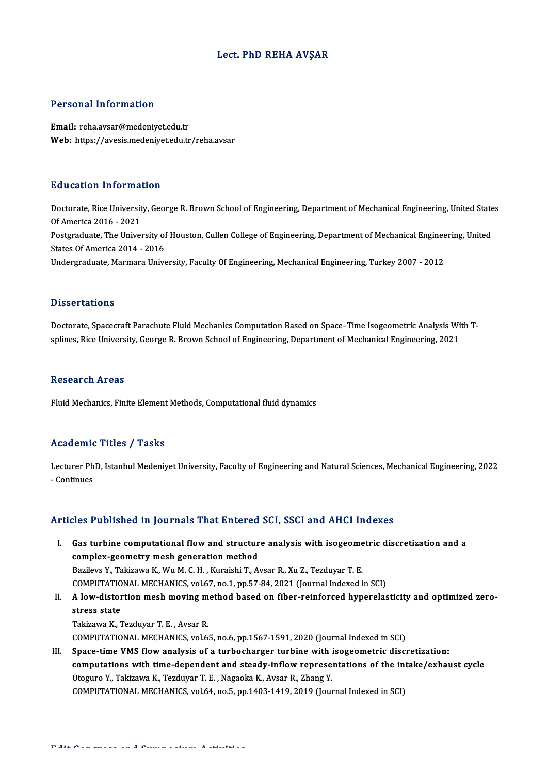## Lect. PhD REHA AVŞAR

### Personal Information

Email: reha.avsar@medeniyet.edu.tr Web: https://avesis.medeniyet.edu.tr/reha.avsar

### Education Information

Education Information<br>Doctorate, Rice University, George R. Brown School of Engineering, Department of Mechanical Engineering, United States<br>Of America 2016, 2021 Ducturent international<br>Doctorate, Rice Universit<br>Of America 2016 - 2021<br>Restauraturente The Univers Doctorate, Rice University, George R. Brown School of Engineering, Department of Mechanical Engineering, United State<br>Of America 2016 - 2021<br>Postgraduate, The University of Houston, Cullen College of Engineering, Departmen Of America 2016 - 2021<br>Postgraduate, The University of<br>States Of America 2014 - 2016<br>Undergraduate Marmare Unive Postgraduate, The University of Houston, Cullen College of Engineering, Department of Mechanical Enginee<br>States Of America 2014 - 2016<br>Undergraduate, Marmara University, Faculty Of Engineering, Mechanical Engineering, Turk Undergraduate, Marmara University, Faculty Of Engineering, Mechanical Engineering, Turkey 2007 - 2012<br>-<br>Dissertations

Dissertations<br>Doctorate, Spacecraft Parachute Fluid Mechanics Computation Based on Space–Time Isogeometric Analysis With T-<br>Splines, Rise University, Coorse R. Brown School of Engineering, Department of Mechanical Engineer s reseer catrons<br>Doctorate, Spacecraft Parachute Fluid Mechanics Computation Based on Space–Time Isogeometric Analysis Wi<br>splines, Rice University, George R. Brown School of Engineering, Department of Mechanical Engineerin splines, Rice University, George R. Brown School of Engineering, Department of Mechanical Engineering, 2021<br>Research Areas

Fluid Mechanics, Finite Element Methods, Computational fluid dynamics

### Academic Titles / Tasks

Academic Titles / Tasks<br>Lecturer PhD, Istanbul Medeniyet University, Faculty of Engineering and Natural Sciences, Mechanical Engineering, 2022<br>- Continues Lecturer Ph<br>Lecturer Ph<br>- Continues Articles Published in Journals That Entered SCI, SSCI and AHCI Indexes

- rticles Published in Journals That Entered SCI, SSCI and AHCI Indexes<br>I. Gas turbine computational flow and structure analysis with isogeometric discretization and a<br>complex geometry mesh generation method Gas turbine computational flow and structure<br>complex-geometry mesh generation method<br>Parilays V. Takirawa K. Wu M. G. H. Kuraishi T. A. Gas turbine computational flow and structure analysis with isogeome<br>complex-geometry mesh generation method<br>Bazilevs Y., Takizawa K., Wu M. C. H. , Kuraishi T., Avsar R., Xu Z., Tezduyar T. E.<br>COMPUTATIONAL MECHANICS vol.6 complex-geometry mesh generation method<br>Bazilevs Y., Takizawa K., Wu M. C. H. , Kuraishi T., Avsar R., Xu Z., Tezduyar T. E.<br>COMPUTATIONAL MECHANICS, vol.67, no.1, pp.57-84, 2021 (Journal Indexed in SCI) Bazilevs Y., Takizawa K., Wu M. C. H. , Kuraishi T., Avsar R., Xu Z., Tezduyar T. E.<br>COMPUTATIONAL MECHANICS, vol.67, no.1, pp.57-84, 2021 (Journal Indexed in SCI)<br>II. A low-distortion mesh moving method based on fiber-rei COMPUTATIO<br>A low-distor<br>stress state<br>Tekirowe K. 7
- A low-distortion mesh moving m<br>stress state<br>Takizawa K., Tezduyar T. E. , Avsar R.<br>COMBUTATIONAL MECHANICS vol 6 stress state<br>Takizawa K., Tezduyar T. E. , Avsar R.<br>COMPUTATIONAL MECHANICS, vol.65, no.6, pp.1567-1591, 2020 (Journal Indexed in SCI) Takizawa K., Tezduyar T. E., Avsar R.<br>COMPUTATIONAL MECHANICS, vol.65, no.6, pp.1567-1591, 2020 (Journal Indexed in SCI)<br>III. Space-time VMS flow analysis of a turbocharger turbine with isogeometric discretization:<br>computa
- COMPUTATIONAL MECHANICS, vol.65, no.6, pp.1567-1591, 2020 (Journal Indexed in SCI)<br>Space-time VMS flow analysis of a turbocharger turbine with isogeometric discretization:<br>computations with time-dependent and steady-inflow Space-time VMS flow analysis of a turbocharger turbine with i<br>computations with time-dependent and steady-inflow represe.<br>Otoguro Y., Takizawa K., Tezduyar T. E., Nagaoka K., Avsar R., Zhang Y.<br>COMPUTATIONAL MECHANICS vol. computations with time-dependent and steady-inflow representations of the int<br>Otoguro Y., Takizawa K., Tezduyar T. E. , Nagaoka K., Avsar R., Zhang Y.<br>COMPUTATIONAL MECHANICS, vol.64, no.5, pp.1403-1419, 2019 (Journal Inde